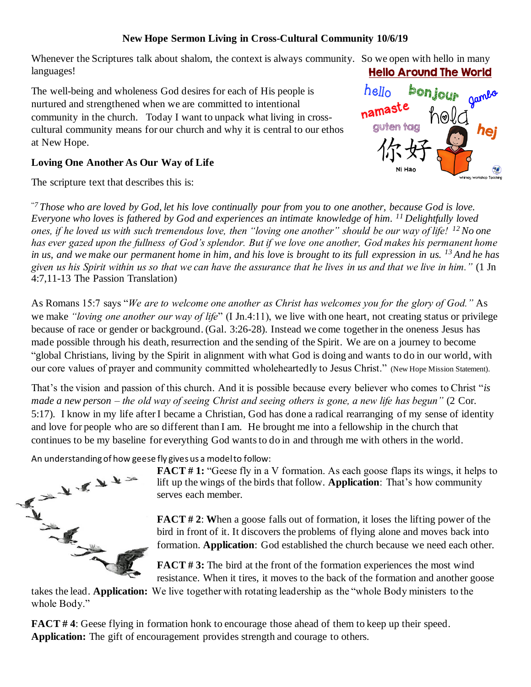## **New Hope Sermon Living in Cross-Cultural Community 10/6/19**

Whenever the Scriptures talk about shalom, the context is always community. So we open with hello in many languages! **Hello Around The World** 

The well-being and wholeness God desires for each of His people is nurtured and strengthened when we are committed to intentional community in the church. Today I want to unpack what living in crosscultural community means for our church and why it is central to our ethos at New Hope.

## **Loving One Another As Our Way of Life**

The scripture text that describes this is:

"*<sup>7</sup> Those who are loved by God, let his love continually pour from you to one another, because God is love. Everyone who loves is fathered by God and experiences an intimate knowledge of him. <sup>11</sup> Delightfully loved ones, if he loved us with such tremendous love, then "loving one another" should be our way of life! <sup>12</sup>No one has ever gazed upon the fullness of God's splendor. But if we love one another, God makes his permanent home in us, and we make our permanent home in him, and his love is brought to its full expression in us. <sup>13</sup> And he has given us his Spirit within us so that we can have the assurance that he lives in us and that we live in him."* (1 Jn 4:7,11-13 The Passion Translation)

As Romans 15:7 says "*We are to welcome one another as Christ has welcomes you for the glory of God."* As we make *"loving one another our way of life*" (I Jn.4:11), we live with one heart, not creating status or privilege because of race or gender or background. (Gal. 3:26-28). Instead we come together in the oneness Jesus has made possible through his death, resurrection and the sending of the Spirit. We are on a journey to become "global Christians, living by the Spirit in alignment with what God is doing and wants to do in our world, with our core values of prayer and community committed wholeheartedly to Jesus Christ." (New Hope Mission Statement).

That's the vision and passion of this church. And it is possible because every believer who comes to Christ "*is made a new person – the old way of seeing Christ and seeing others is gone, a new life has begun"* (2 Cor. 5:17). I know in my life after I became a Christian, God has done a radical rearranging of my sense of identity and love for people who are so different than I am. He brought me into a fellowship in the church that continues to be my baseline for everything God wants to do in and through me with others in the world.

An understanding of how geese fly gives us a model to follow:



**FACT #1:** "Geese fly in a V formation. As each goose flaps its wings, it helps to lift up the wings of the birds that follow. **Application**: That's how community serves each member.

**FACT # 2**: **W**hen a goose falls out of formation, it loses the lifting power of the bird in front of it. It discovers the problems of flying alone and moves back into formation. **Application**: God established the church because we need each other.

**FACT # 3:** The bird at the front of the formation experiences the most wind resistance. When it tires, it moves to the back of the formation and another goose

takes the lead. **Application:** We live together with rotating leadership as the "whole Body ministers to the whole Body."

**FACT #4:** Geese flying in formation honk to encourage those ahead of them to keep up their speed. **Application:** The gift of encouragement provides strength and courage to others.

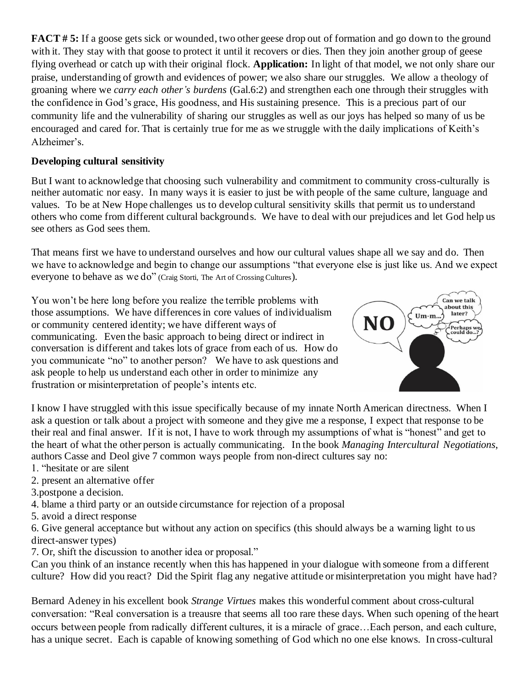**FACT # 5:** If a goose gets sick or wounded, two other geese drop out of formation and go down to the ground with it. They stay with that goose to protect it until it recovers or dies. Then they join another group of geese flying overhead or catch up with their original flock. **Application:** In light of that model, we not only share our praise, understanding of growth and evidences of power; we also share our struggles. We allow a theology of groaning where we *carry each other's burdens* (Gal.6:2) and strengthen each one through their struggles with the confidence in God's grace, His goodness, and His sustaining presence. This is a precious part of our community life and the vulnerability of sharing our struggles as well as our joys has helped so many of us be encouraged and cared for. That is certainly true for me as we struggle with the daily implications of Keith's Alzheimer's.

## **Developing cultural sensitivity**

But I want to acknowledge that choosing such vulnerability and commitment to community cross-culturally is neither automatic nor easy. In many ways it is easier to just be with people of the same culture, language and values. To be at New Hope challenges us to develop cultural sensitivity skills that permit us to understand others who come from different cultural backgrounds. We have to deal with our prejudices and let God help us see others as God sees them.

That means first we have to understand ourselves and how our cultural values shape all we say and do. Then we have to acknowledge and begin to change our assumptions "that everyone else is just like us. And we expect everyone to behave as we do" (Craig Storti, The Art of Crossing Cultures).

You won't be here long before you realize the terrible problems with those assumptions. We have differences in core values of individualism or community centered identity; we have different ways of communicating. Even the basic approach to being direct or indirect in conversation is different and takes lots of grace from each of us. How do you communicate "no" to another person? We have to ask questions and ask people to help us understand each other in order to minimize any frustration or misinterpretation of people's intents etc.



I know I have struggled with this issue specifically because of my innate North American directness. When I ask a question or talk about a project with someone and they give me a response, I expect that response to be their real and final answer. If it is not, I have to work through my assumptions of what is "honest" and get to the heart of what the other person is actually communicating. In the book *Managing Intercultural Negotiations*, authors Casse and Deol give 7 common ways people from non-direct cultures say no:

- 1. "hesitate or are silent
- 2. present an alternative offer
- 3.postpone a decision.
- 4. blame a third party or an outside circumstance for rejection of a proposal
- 5. avoid a direct response

6. Give general acceptance but without any action on specifics (this should always be a warning light to us direct-answer types)

7. Or, shift the discussion to another idea or proposal."

Can you think of an instance recently when this has happened in your dialogue with someone from a different culture? How did you react? Did the Spirit flag any negative attitude or misinterpretation you might have had?

Bernard Adeney in his excellent book *Strange Virtues* makes this wonderful comment about cross-cultural conversation: "Real conversation is a treausre that seems all too rare these days. When such opening of the heart occurs between people from radically different cultures, it is a miracle of grace…Each person, and each culture, has a unique secret. Each is capable of knowing something of God which no one else knows. In cross-cultural